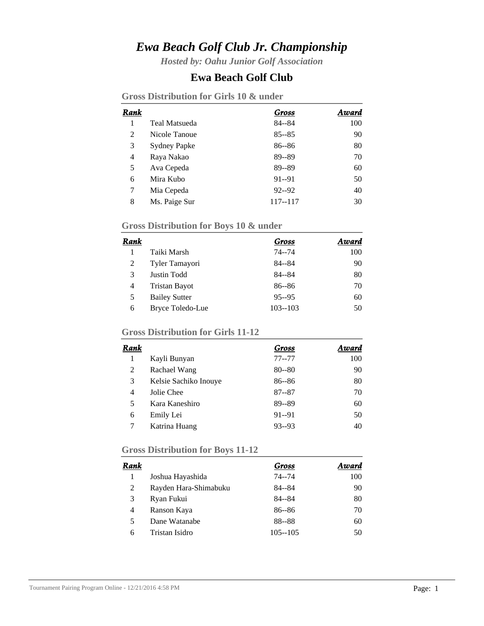# *Ewa Beach Golf Club Jr. Championship*

*Hosted by: Oahu Junior Golf Association*

### **Ewa Beach Golf Club**

**Gross Distribution for Girls 10 & under**

| Rank           |                     | Gross     | Award |
|----------------|---------------------|-----------|-------|
| 1              | Teal Matsueda       | $84 - 84$ | 100   |
| $\overline{2}$ | Nicole Tanoue       | $85 - 85$ | 90    |
| 3              | <b>Sydney Papke</b> | $86 - 86$ | 80    |
| 4              | Raya Nakao          | 89--89    | 70    |
| 5              | Ava Cepeda          | 89--89    | 60    |
| 6              | Mira Kubo           | $91 - 91$ | 50    |
| 7              | Mia Cepeda          | $92 - 92$ | 40    |
| 8              | Ms. Paige Sur       | 117--117  | 30    |

# **Gross Distribution for Boys 10 & under**

| Rank |                      | Gross       | Award |
|------|----------------------|-------------|-------|
|      | Taiki Marsh          | $74 - 74$   | 100   |
| 2    | Tyler Tamayori       | 84--84      | 90    |
| 3    | Justin Todd          | $84 - 84$   | 80    |
| 4    | <b>Tristan Bayot</b> | $86 - 86$   | 70    |
| 5    | <b>Bailey Sutter</b> | $95 - 95$   | 60    |
| 6    | Bryce Toledo-Lue     | $103 - 103$ | 50    |

## **Gross Distribution for Girls 11-12**

| Rank |                       | Gross     | Award |
|------|-----------------------|-----------|-------|
|      | Kayli Bunyan          | $77 - 77$ | 100   |
| 2    | Rachael Wang          | $80 - 80$ | 90    |
| 3    | Kelsie Sachiko Inouye | $86 - 86$ | 80    |
| 4    | Jolie Chee            | $87 - 87$ | 70    |
| 5    | Kara Kaneshiro        | 89--89    | 60    |
| 6    | Emily Lei             | $91 - 91$ | 50    |
|      | Katrina Huang         | $93 - 93$ | 40    |

# **Gross Distribution for Boys 11-12**

| Rank |                       | Gross       | Award |
|------|-----------------------|-------------|-------|
|      | Joshua Hayashida      | 74--74      | 100   |
| 2    | Rayden Hara-Shimabuku | 84--84      | 90    |
| 3    | Ryan Fukui            | 84--84      | 80    |
| 4    | Ranson Kaya           | $86 - 86$   | 70    |
| 5    | Dane Watanabe         | 88--88      | 60    |
| 6    | Tristan Isidro        | $105 - 105$ | 50    |